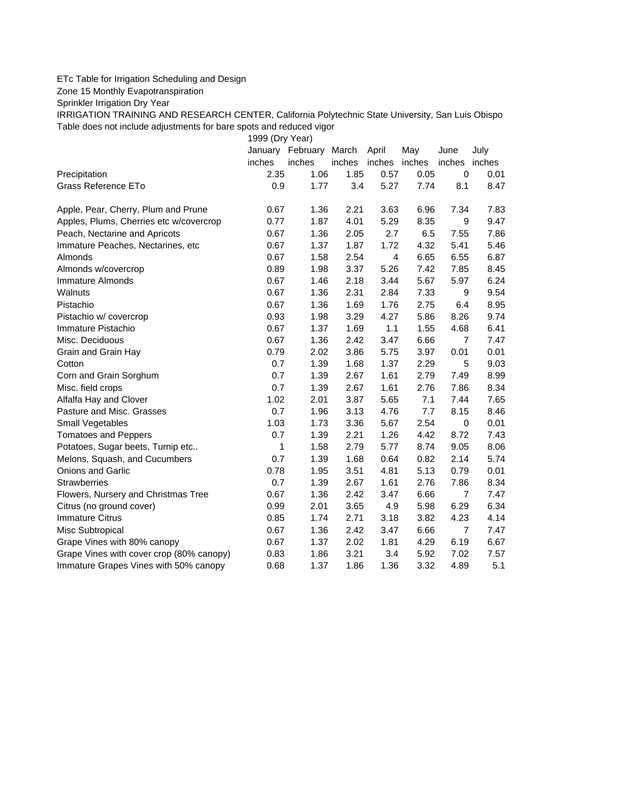## ETc Table for Irrigation Scheduling and Design

Zone 15 Monthly Evapotranspiration

Sprinkler Irrigation Dry Year

IRRIGATION TRAINING AND RESEARCH CENTER, California Polytechnic State University, San Luis Obispo Table does not include adjustments for bare spots and reduced vigor

1999 (Dry Year)

|                                          |        | January February | March  | April                   | May  | June           | July |
|------------------------------------------|--------|------------------|--------|-------------------------|------|----------------|------|
|                                          | inches | inches           | inches | inches inches           |      | inches inches  |      |
| Precipitation                            | 2.35   | 1.06             | 1.85   | 0.57                    | 0.05 | 0              | 0.01 |
| Grass Reference ETo                      | 0.9    | 1.77             | 3.4    | 5.27                    | 7.74 | 8.1            | 8.47 |
| Apple, Pear, Cherry, Plum and Prune      | 0.67   | 1.36             | 2.21   | 3.63                    | 6.96 | 7.34           | 7.83 |
| Apples, Plums, Cherries etc w/covercrop  | 0.77   | 1.87             | 4.01   | 5.29                    | 8.35 | 9              | 9.47 |
| Peach, Nectarine and Apricots            | 0.67   | 1.36             | 2.05   | 2.7                     | 6.5  | 7.55           | 7.86 |
| Immature Peaches, Nectarines, etc        | 0.67   | 1.37             | 1.87   | 1.72                    | 4.32 | 5.41           | 5.46 |
| Almonds                                  | 0.67   | 1.58             | 2.54   | $\overline{\mathbf{4}}$ | 6.65 | 6.55           | 6.87 |
| Almonds w/covercrop                      | 0.89   | 1.98             | 3.37   | 5.26                    | 7.42 | 7.85           | 8.45 |
| <b>Immature Almonds</b>                  | 0.67   | 1.46             | 2.18   | 3.44                    | 5.67 | 5.97           | 6.24 |
| Walnuts                                  | 0.67   | 1.36             | 2.31   | 2.84                    | 7.33 | 9              | 9.54 |
| Pistachio                                | 0.67   | 1.36             | 1.69   | 1.76                    | 2.75 | 6.4            | 8.95 |
| Pistachio w/ covercrop                   | 0.93   | 1.98             | 3.29   | 4.27                    | 5.86 | 8.26           | 9.74 |
| Immature Pistachio                       | 0.67   | 1.37             | 1.69   | 1.1                     | 1.55 | 4.68           | 6.41 |
| Misc. Deciduous                          | 0.67   | 1.36             | 2.42   | 3.47                    | 6.66 | 7              | 7.47 |
| Grain and Grain Hay                      | 0.79   | 2.02             | 3.86   | 5.75                    | 3.97 | 0.01           | 0.01 |
| Cotton                                   | 0.7    | 1.39             | 1.68   | 1.37                    | 2.29 | 5              | 9.03 |
| Corn and Grain Sorghum                   | 0.7    | 1.39             | 2.67   | 1.61                    | 2.79 | 7.49           | 8.99 |
| Misc. field crops                        | 0.7    | 1.39             | 2.67   | 1.61                    | 2.76 | 7.86           | 8.34 |
| Alfalfa Hay and Clover                   | 1.02   | 2.01             | 3.87   | 5.65                    | 7.1  | 7.44           | 7.65 |
| Pasture and Misc. Grasses                | 0.7    | 1.96             | 3.13   | 4.76                    | 7.7  | 8.15           | 8.46 |
| Small Vegetables                         | 1.03   | 1.73             | 3.36   | 5.67                    | 2.54 | $\mathbf 0$    | 0.01 |
| <b>Tomatoes and Peppers</b>              | 0.7    | 1.39             | 2.21   | 1.26                    | 4.42 | 8.72           | 7.43 |
| Potatoes, Sugar beets, Turnip etc        | 1      | 1.58             | 2.79   | 5.77                    | 8.74 | 9.05           | 8.06 |
| Melons, Squash, and Cucumbers            | 0.7    | 1.39             | 1.68   | 0.64                    | 0.82 | 2.14           | 5.74 |
| <b>Onions and Garlic</b>                 | 0.78   | 1.95             | 3.51   | 4.81                    | 5.13 | 0.79           | 0.01 |
| <b>Strawberries</b>                      | 0.7    | 1.39             | 2.67   | 1.61                    | 2.76 | 7.86           | 8.34 |
| Flowers, Nursery and Christmas Tree      | 0.67   | 1.36             | 2.42   | 3.47                    | 6.66 | $\overline{7}$ | 7.47 |
| Citrus (no ground cover)                 | 0.99   | 2.01             | 3.65   | 4.9                     | 5.98 | 6.29           | 6.34 |
| <b>Immature Citrus</b>                   | 0.85   | 1.74             | 2.71   | 3.18                    | 3.82 | 4.23           | 4.14 |
| Misc Subtropical                         | 0.67   | 1.36             | 2.42   | 3.47                    | 6.66 | $\overline{7}$ | 7.47 |
| Grape Vines with 80% canopy              | 0.67   | 1.37             | 2.02   | 1.81                    | 4.29 | 6.19           | 6.67 |
| Grape Vines with cover crop (80% canopy) | 0.83   | 1.86             | 3.21   | 3.4                     | 5.92 | 7.02           | 7.57 |
| Immature Grapes Vines with 50% canopy    | 0.68   | 1.37             | 1.86   | 1.36                    | 3.32 | 4.89           | 5.1  |